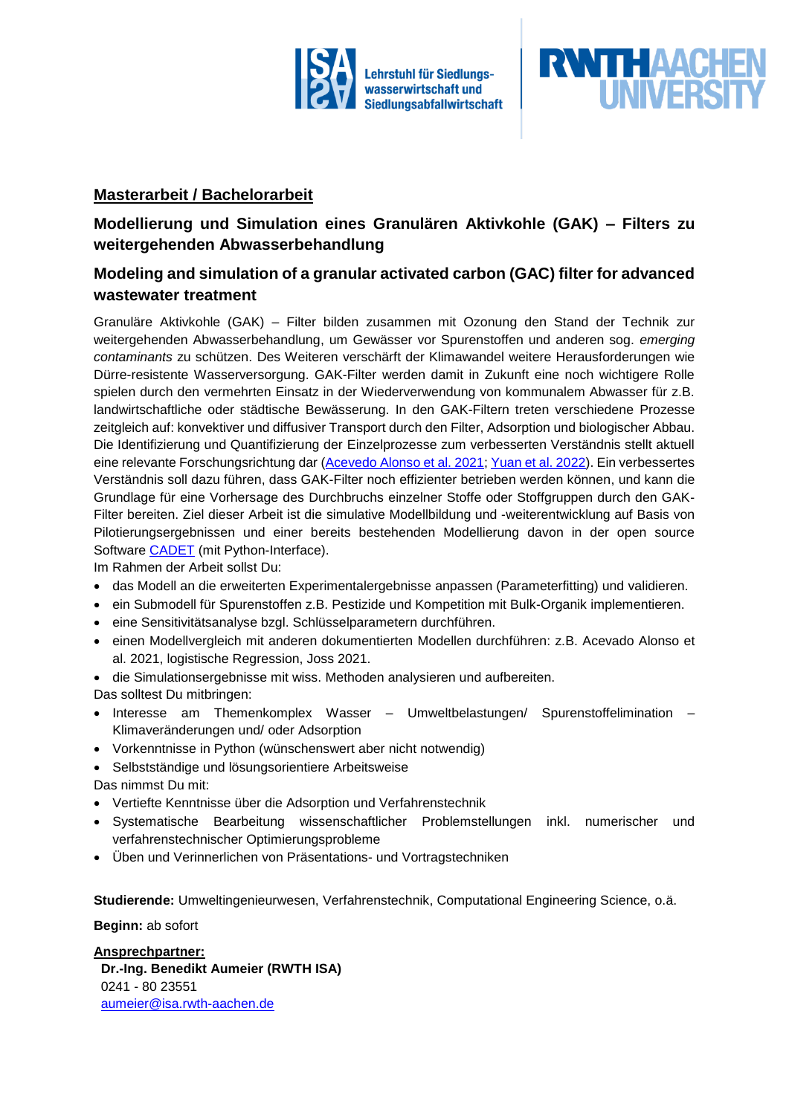



### **Masterarbeit / Bachelorarbeit**

# **Modellierung und Simulation eines Granulären Aktivkohle (GAK) – Filters zu weitergehenden Abwasserbehandlung**

## **Modeling and simulation of a granular activated carbon (GAC) filter for advanced wastewater treatment**

Granuläre Aktivkohle (GAK) – Filter bilden zusammen mit Ozonung den Stand der Technik zur weitergehenden Abwasserbehandlung, um Gewässer vor Spurenstoffen und anderen sog. *emerging contaminants* zu schützen. Des Weiteren verschärft der Klimawandel weitere Herausforderungen wie Dürre-resistente Wasserversorgung. GAK-Filter werden damit in Zukunft eine noch wichtigere Rolle spielen durch den vermehrten Einsatz in der Wiederverwendung von kommunalem Abwasser für z.B. landwirtschaftliche oder städtische Bewässerung. In den GAK-Filtern treten verschiedene Prozesse zeitgleich auf: konvektiver und diffusiver Transport durch den Filter, Adsorption und biologischer Abbau. Die Identifizierung und Quantifizierung der Einzelprozesse zum verbesserten Verständnis stellt aktuell eine relevante Forschungsrichtung dar [\(Acevedo Alonso et al. 2021;](https://doi.org/10.1016/j.watres.2021.117079) [Yuan et al. 2022\)](https://doi.org/10.1016/j.watres.2021.118026). Ein verbessertes Verständnis soll dazu führen, dass GAK-Filter noch effizienter betrieben werden können, und kann die Grundlage für eine Vorhersage des Durchbruchs einzelner Stoffe oder Stoffgruppen durch den GAK-Filter bereiten. Ziel dieser Arbeit ist die simulative Modellbildung und -weiterentwicklung auf Basis von Pilotierungsergebnissen und einer bereits bestehenden Modellierung davon in der open source Software [CADET](https://cadet.github.io/) (mit Python-Interface).

Im Rahmen der Arbeit sollst Du:

- das Modell an die erweiterten Experimentalergebnisse anpassen (Parameterfitting) und validieren.
- ein Submodell für Spurenstoffen z.B. Pestizide und Kompetition mit Bulk-Organik implementieren.
- eine Sensitivitätsanalyse bzgl. Schlüsselparametern durchführen.
- einen Modellvergleich mit anderen dokumentierten Modellen durchführen: z.B. Acevado Alonso et al. 2021, logistische Regression, Joss 2021.
- die Simulationsergebnisse mit wiss. Methoden analysieren und aufbereiten.
- Das solltest Du mitbringen:
- Interesse am Themenkomplex Wasser Umweltbelastungen/ Spurenstoffelimination Klimaveränderungen und/ oder Adsorption
- Vorkenntnisse in Python (wünschenswert aber nicht notwendig)
- Selbstständige und lösungsorientiere Arbeitsweise

Das nimmst Du mit:

- Vertiefte Kenntnisse über die Adsorption und Verfahrenstechnik
- Systematische Bearbeitung wissenschaftlicher Problemstellungen inkl. numerischer und verfahrenstechnischer Optimierungsprobleme
- Üben und Verinnerlichen von Präsentations- und Vortragstechniken

**Studierende:** Umweltingenieurwesen, Verfahrenstechnik, Computational Engineering Science, o.ä.

#### **Beginn:** ab sofort

**Ansprechpartner: Dr.-Ing. Benedikt Aumeier (RWTH ISA)** 0241 - 80 23551 [aumeier@isa.rwth-aachen.de](mailto:aumeier@isa.rwth-aachen.de)